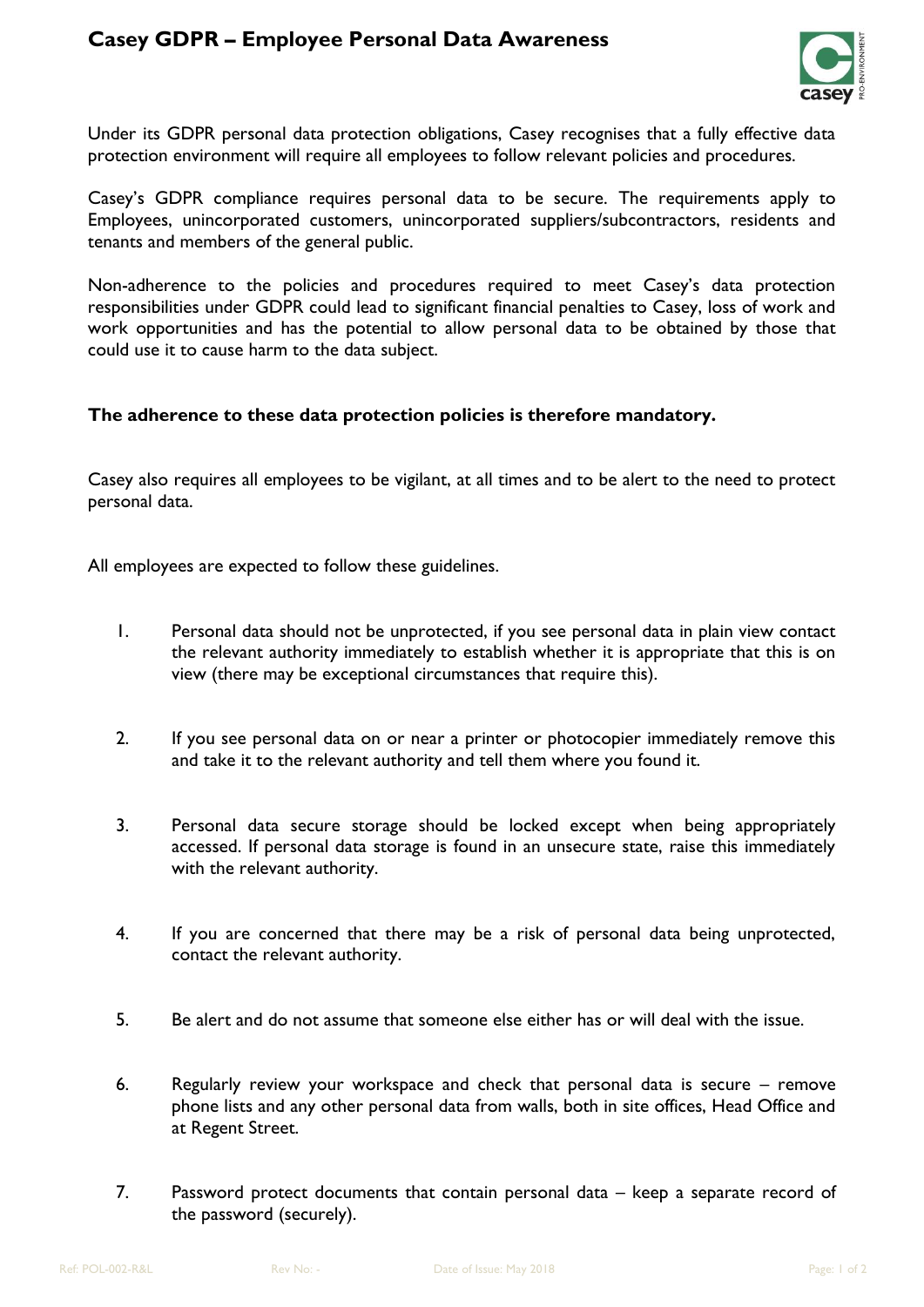## **Casey GDPR – Employee Personal Data Awareness**



Under its GDPR personal data protection obligations, Casey recognises that a fully effective data protection environment will require all employees to follow relevant policies and procedures.

Casey's GDPR compliance requires personal data to be secure. The requirements apply to Employees, unincorporated customers, unincorporated suppliers/subcontractors, residents and tenants and members of the general public.

Non-adherence to the policies and procedures required to meet Casey's data protection responsibilities under GDPR could lead to significant financial penalties to Casey, loss of work and work opportunities and has the potential to allow personal data to be obtained by those that could use it to cause harm to the data subject.

## **The adherence to these data protection policies is therefore mandatory.**

Casey also requires all employees to be vigilant, at all times and to be alert to the need to protect personal data.

All employees are expected to follow these guidelines.

- 1. Personal data should not be unprotected, if you see personal data in plain view contact the relevant authority immediately to establish whether it is appropriate that this is on view (there may be exceptional circumstances that require this).
- 2. If you see personal data on or near a printer or photocopier immediately remove this and take it to the relevant authority and tell them where you found it.
- 3. Personal data secure storage should be locked except when being appropriately accessed. If personal data storage is found in an unsecure state, raise this immediately with the relevant authority.
- 4. If you are concerned that there may be a risk of personal data being unprotected, contact the relevant authority.
- 5. Be alert and do not assume that someone else either has or will deal with the issue.
- 6. Regularly review your workspace and check that personal data is secure remove phone lists and any other personal data from walls, both in site offices, Head Office and at Regent Street.
- 7. Password protect documents that contain personal data keep a separate record of the password (securely).